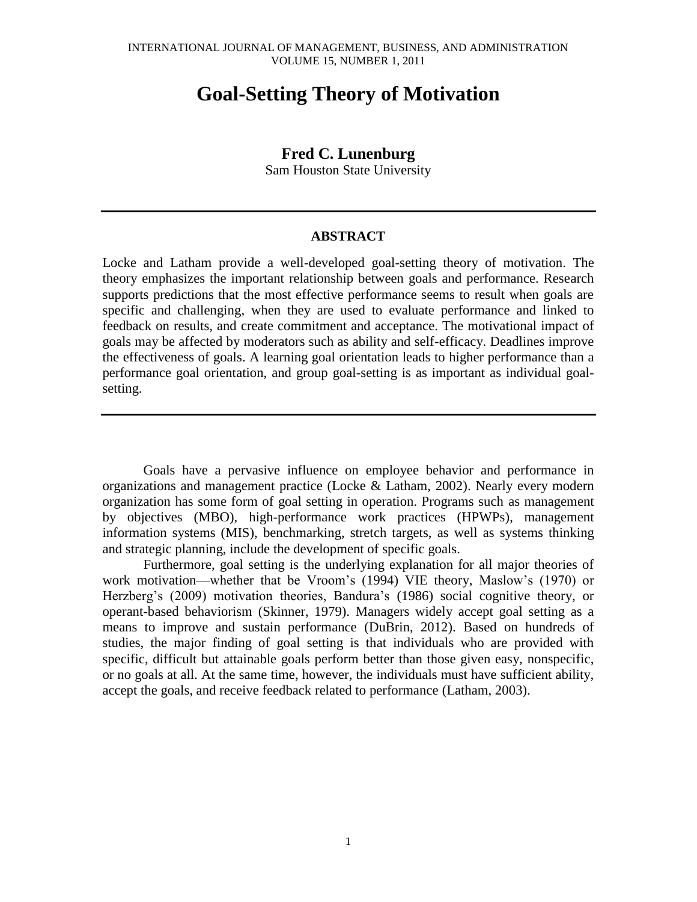# **Goal-Setting Theory of Motivation**

## **Fred C. Lunenburg**

Sam Houston State University

#### **ABSTRACT**

Locke and Latham provide a well-developed goal-setting theory of motivation. The theory emphasizes the important relationship between goals and performance. Research supports predictions that the most effective performance seems to result when goals are specific and challenging, when they are used to evaluate performance and linked to feedback on results, and create commitment and acceptance. The motivational impact of goals may be affected by moderators such as ability and self-efficacy. Deadlines improve the effectiveness of goals. A learning goal orientation leads to higher performance than a performance goal orientation, and group goal-setting is as important as individual goalsetting.

Goals have a pervasive influence on employee behavior and performance in organizations and management practice (Locke & Latham, 2002). Nearly every modern organization has some form of goal setting in operation. Programs such as management by objectives (MBO), high-performance work practices (HPWPs), management information systems (MIS), benchmarking, stretch targets, as well as systems thinking and strategic planning, include the development of specific goals.

Furthermore, goal setting is the underlying explanation for all major theories of work motivation—whether that be Vroom's (1994) VIE theory, Maslow's (1970) or Herzberg's (2009) motivation theories, Bandura's (1986) social cognitive theory, or operant-based behaviorism (Skinner, 1979). Managers widely accept goal setting as a means to improve and sustain performance (DuBrin, 2012). Based on hundreds of studies, the major finding of goal setting is that individuals who are provided with specific, difficult but attainable goals perform better than those given easy, nonspecific, or no goals at all. At the same time, however, the individuals must have sufficient ability, accept the goals, and receive feedback related to performance (Latham, 2003).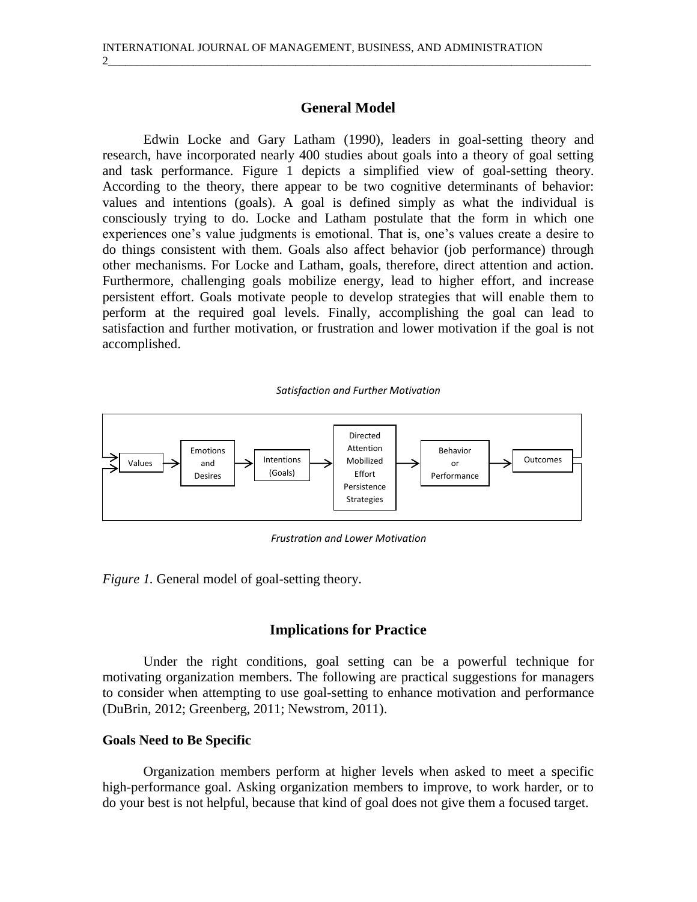## **General Model**

2\_\_\_\_\_\_\_\_\_\_\_\_\_\_\_\_\_\_\_\_\_\_\_\_\_\_\_\_\_\_\_\_\_\_\_\_\_\_\_\_\_\_\_\_\_\_\_\_\_\_\_\_\_\_\_\_\_\_\_\_\_\_\_\_\_\_\_\_\_\_\_\_\_\_\_\_\_\_\_\_\_\_\_\_\_

Edwin Locke and Gary Latham (1990), leaders in goal-setting theory and research, have incorporated nearly 400 studies about goals into a theory of goal setting and task performance. Figure 1 depicts a simplified view of goal-setting theory. According to the theory, there appear to be two cognitive determinants of behavior: values and intentions (goals). A goal is defined simply as what the individual is consciously trying to do. Locke and Latham postulate that the form in which one experiences one's value judgments is emotional. That is, one's values create a desire to do things consistent with them. Goals also affect behavior (job performance) through other mechanisms. For Locke and Latham, goals, therefore, direct attention and action. Furthermore, challenging goals mobilize energy, lead to higher effort, and increase persistent effort. Goals motivate people to develop strategies that will enable them to perform at the required goal levels. Finally, accomplishing the goal can lead to satisfaction and further motivation, or frustration and lower motivation if the goal is not accomplished.

#### *Satisfaction and Further Motivation*



*Frustration and Lower Motivation*

*Figure 1.* General model of goal-setting theory.

## **Implications for Practice**

Under the right conditions, goal setting can be a powerful technique for motivating organization members. The following are practical suggestions for managers to consider when attempting to use goal-setting to enhance motivation and performance (DuBrin, 2012; Greenberg, 2011; Newstrom, 2011).

#### **Goals Need to Be Specific**

Organization members perform at higher levels when asked to meet a specific high-performance goal. Asking organization members to improve, to work harder, or to do your best is not helpful, because that kind of goal does not give them a focused target.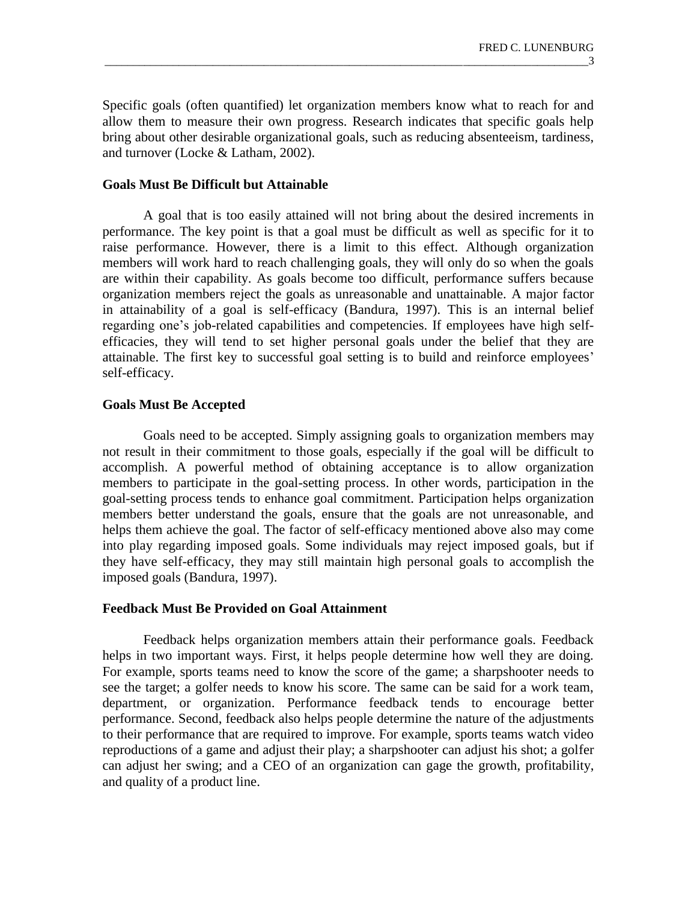Specific goals (often quantified) let organization members know what to reach for and allow them to measure their own progress. Research indicates that specific goals help bring about other desirable organizational goals, such as reducing absenteeism, tardiness, and turnover (Locke & Latham, 2002).

## **Goals Must Be Difficult but Attainable**

A goal that is too easily attained will not bring about the desired increments in performance. The key point is that a goal must be difficult as well as specific for it to raise performance. However, there is a limit to this effect. Although organization members will work hard to reach challenging goals, they will only do so when the goals are within their capability. As goals become too difficult, performance suffers because organization members reject the goals as unreasonable and unattainable. A major factor in attainability of a goal is self-efficacy (Bandura, 1997). This is an internal belief regarding one's job-related capabilities and competencies. If employees have high selfefficacies, they will tend to set higher personal goals under the belief that they are attainable. The first key to successful goal setting is to build and reinforce employees' self-efficacy.

## **Goals Must Be Accepted**

Goals need to be accepted. Simply assigning goals to organization members may not result in their commitment to those goals, especially if the goal will be difficult to accomplish. A powerful method of obtaining acceptance is to allow organization members to participate in the goal-setting process. In other words, participation in the goal-setting process tends to enhance goal commitment. Participation helps organization members better understand the goals, ensure that the goals are not unreasonable, and helps them achieve the goal. The factor of self-efficacy mentioned above also may come into play regarding imposed goals. Some individuals may reject imposed goals, but if they have self-efficacy, they may still maintain high personal goals to accomplish the imposed goals (Bandura, 1997).

## **Feedback Must Be Provided on Goal Attainment**

Feedback helps organization members attain their performance goals. Feedback helps in two important ways. First, it helps people determine how well they are doing. For example, sports teams need to know the score of the game; a sharpshooter needs to see the target; a golfer needs to know his score. The same can be said for a work team, department, or organization. Performance feedback tends to encourage better performance. Second, feedback also helps people determine the nature of the adjustments to their performance that are required to improve. For example, sports teams watch video reproductions of a game and adjust their play; a sharpshooter can adjust his shot; a golfer can adjust her swing; and a CEO of an organization can gage the growth, profitability, and quality of a product line.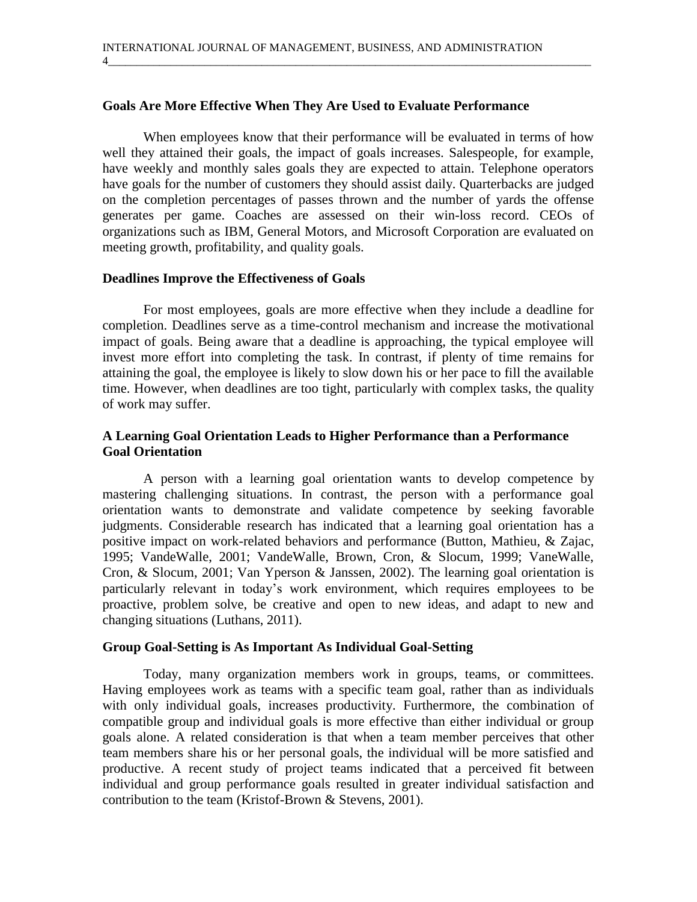4\_\_\_\_\_\_\_\_\_\_\_\_\_\_\_\_\_\_\_\_\_\_\_\_\_\_\_\_\_\_\_\_\_\_\_\_\_\_\_\_\_\_\_\_\_\_\_\_\_\_\_\_\_\_\_\_\_\_\_\_\_\_\_\_\_\_\_\_\_\_\_\_\_\_\_\_\_\_\_\_\_\_\_\_\_

### **Goals Are More Effective When They Are Used to Evaluate Performance**

When employees know that their performance will be evaluated in terms of how well they attained their goals, the impact of goals increases. Salespeople, for example, have weekly and monthly sales goals they are expected to attain. Telephone operators have goals for the number of customers they should assist daily. Quarterbacks are judged on the completion percentages of passes thrown and the number of yards the offense generates per game. Coaches are assessed on their win-loss record. CEOs of organizations such as IBM, General Motors, and Microsoft Corporation are evaluated on meeting growth, profitability, and quality goals.

### **Deadlines Improve the Effectiveness of Goals**

For most employees, goals are more effective when they include a deadline for completion. Deadlines serve as a time-control mechanism and increase the motivational impact of goals. Being aware that a deadline is approaching, the typical employee will invest more effort into completing the task. In contrast, if plenty of time remains for attaining the goal, the employee is likely to slow down his or her pace to fill the available time. However, when deadlines are too tight, particularly with complex tasks, the quality of work may suffer.

## **A Learning Goal Orientation Leads to Higher Performance than a Performance Goal Orientation**

A person with a learning goal orientation wants to develop competence by mastering challenging situations. In contrast, the person with a performance goal orientation wants to demonstrate and validate competence by seeking favorable judgments. Considerable research has indicated that a learning goal orientation has a positive impact on work-related behaviors and performance (Button, Mathieu, & Zajac, 1995; VandeWalle, 2001; VandeWalle, Brown, Cron, & Slocum, 1999; VaneWalle, Cron, & Slocum, 2001; Van Yperson & Janssen, 2002). The learning goal orientation is particularly relevant in today's work environment, which requires employees to be proactive, problem solve, be creative and open to new ideas, and adapt to new and changing situations (Luthans, 2011).

#### **Group Goal-Setting is As Important As Individual Goal-Setting**

Today, many organization members work in groups, teams, or committees. Having employees work as teams with a specific team goal, rather than as individuals with only individual goals, increases productivity. Furthermore, the combination of compatible group and individual goals is more effective than either individual or group goals alone. A related consideration is that when a team member perceives that other team members share his or her personal goals, the individual will be more satisfied and productive. A recent study of project teams indicated that a perceived fit between individual and group performance goals resulted in greater individual satisfaction and contribution to the team (Kristof-Brown & Stevens, 2001).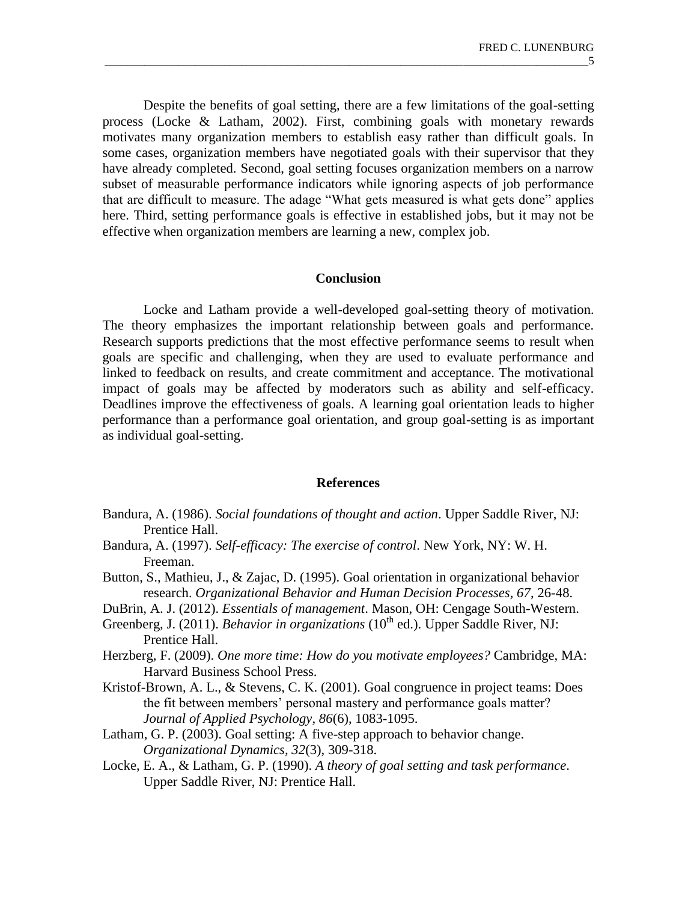Despite the benefits of goal setting, there are a few limitations of the goal-setting process (Locke & Latham, 2002). First, combining goals with monetary rewards motivates many organization members to establish easy rather than difficult goals. In some cases, organization members have negotiated goals with their supervisor that they have already completed. Second, goal setting focuses organization members on a narrow subset of measurable performance indicators while ignoring aspects of job performance that are difficult to measure. The adage "What gets measured is what gets done" applies here. Third, setting performance goals is effective in established jobs, but it may not be effective when organization members are learning a new, complex job.

### **Conclusion**

Locke and Latham provide a well-developed goal-setting theory of motivation. The theory emphasizes the important relationship between goals and performance. Research supports predictions that the most effective performance seems to result when goals are specific and challenging, when they are used to evaluate performance and linked to feedback on results, and create commitment and acceptance. The motivational impact of goals may be affected by moderators such as ability and self-efficacy. Deadlines improve the effectiveness of goals. A learning goal orientation leads to higher performance than a performance goal orientation, and group goal-setting is as important as individual goal-setting.

#### **References**

- Bandura, A. (1986). *Social foundations of thought and action*. Upper Saddle River, NJ: Prentice Hall.
- Bandura, A. (1997). *Self-efficacy: The exercise of control*. New York, NY: W. H. Freeman.
- Button, S., Mathieu, J., & Zajac, D. (1995). Goal orientation in organizational behavior research. *Organizational Behavior and Human Decision Processes, 67*, 26-48.
- DuBrin, A. J. (2012). *Essentials of management*. Mason, OH: Cengage South-Western.
- Greenberg, J. (2011). *Behavior in organizations* (10<sup>th</sup> ed.). Upper Saddle River, NJ: Prentice Hall.
- Herzberg, F. (2009). *One more time: How do you motivate employees?* Cambridge, MA: Harvard Business School Press.
- Kristof-Brown, A. L., & Stevens, C. K. (2001). Goal congruence in project teams: Does the fit between members' personal mastery and performance goals matter? *Journal of Applied Psychology, 86*(6), 1083-1095.
- Latham, G. P. (2003). Goal setting: A five-step approach to behavior change. *Organizational Dynamics, 32*(3), 309-318.
- Locke, E. A., & Latham, G. P. (1990). *A theory of goal setting and task performance*. Upper Saddle River, NJ: Prentice Hall.